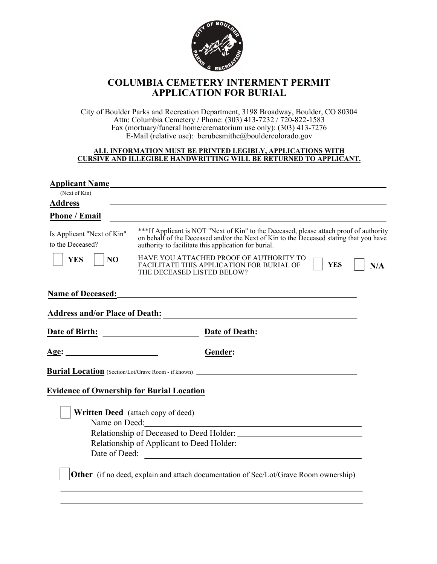

## **COLUMBIA CEMETERY INTERMENT PERMIT APPLICATION FOR BURIAL**

City of Boulder Parks and Recreation Department, 3198 Broadway, Boulder, CO 80304 Attn: Columbia Cemetery / Phone: (303) 413-7232 / 720-822-1583 Fax (mortuary/funeral home/crematorium use only): (303) 413-7276 E-Mail (relative use): berubesmithc@bouldercolorado.gov

## **ALL INFORMATION MUST BE PRINTED LEGIBLY, APPLICATIONS WITH CURSIVE AND ILLEGIBLE HANDWRITTING WILL BE RETURNED TO APPLICANT.**

| <b>Applicant Name</b>                            |                                                                                                                                                                                                                                          |
|--------------------------------------------------|------------------------------------------------------------------------------------------------------------------------------------------------------------------------------------------------------------------------------------------|
| (Next of Kin)                                    |                                                                                                                                                                                                                                          |
| <b>Address</b>                                   |                                                                                                                                                                                                                                          |
| <b>Phone / Email</b>                             |                                                                                                                                                                                                                                          |
| Is Applicant "Next of Kin"<br>to the Deceased?   | ***If Applicant is NOT "Next of Kin" to the Deceased, please attach proof of authority<br>on behalf of the Deceased and/or the Next of Kin to the Deceased stating that you have<br>authority to facilitate this application for burial. |
| <b>YES</b><br>N <sub>O</sub>                     | HAVE YOU ATTACHED PROOF OF AUTHORITY TO<br><b>YES</b><br>FACILITATE THIS APPLICATION FOR BURIAL OF<br>N/A<br>THE DECEASED LISTED BELOW?                                                                                                  |
| <b>Name of Deceased:</b>                         |                                                                                                                                                                                                                                          |
| <b>Address and/or Place of Death:</b>            | and the control of the control of the control of the control of the control of the control of the control of the                                                                                                                         |
| <b>Date of Birth:</b>                            | <u>and the state of the state of the state</u>                                                                                                                                                                                           |
| <u> Age:</u>                                     | Gender:                                                                                                                                                                                                                                  |
|                                                  | <b>Burial Location</b> (Section/Lot/Grave Room - if known) ____________________________                                                                                                                                                  |
| <b>Evidence of Ownership for Burial Location</b> |                                                                                                                                                                                                                                          |
| Name on Deed:                                    | <b>Written Deed</b> (attach copy of deed)                                                                                                                                                                                                |
|                                                  |                                                                                                                                                                                                                                          |
|                                                  |                                                                                                                                                                                                                                          |
| Date of Deed:                                    | <u> 1980 - John Stein, Amerikaansk politiker (</u>                                                                                                                                                                                       |
|                                                  | <b>Other</b> (if no deed, explain and attach documentation of Sec/Lot/Grave Room ownership)                                                                                                                                              |